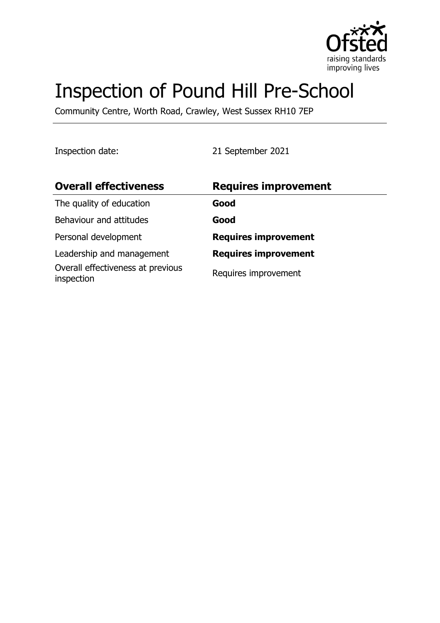

# Inspection of Pound Hill Pre-School

Community Centre, Worth Road, Crawley, West Sussex RH10 7EP

Inspection date: 21 September 2021

| <b>Overall effectiveness</b>                    | <b>Requires improvement</b> |
|-------------------------------------------------|-----------------------------|
| The quality of education                        | Good                        |
| Behaviour and attitudes                         | Good                        |
| Personal development                            | <b>Requires improvement</b> |
| Leadership and management                       | <b>Requires improvement</b> |
| Overall effectiveness at previous<br>inspection | Requires improvement        |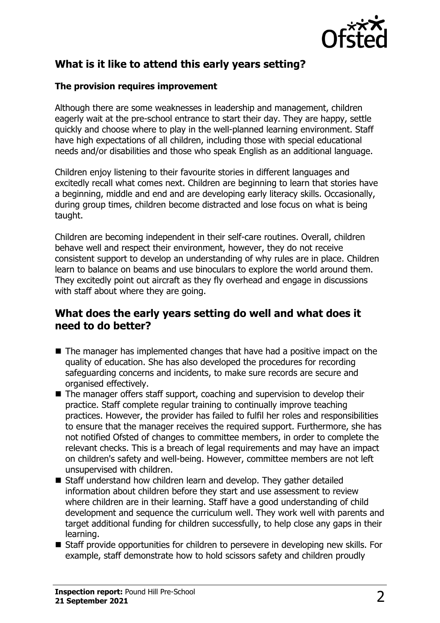

# **What is it like to attend this early years setting?**

## **The provision requires improvement**

Although there are some weaknesses in leadership and management, children eagerly wait at the pre-school entrance to start their day. They are happy, settle quickly and choose where to play in the well-planned learning environment. Staff have high expectations of all children, including those with special educational needs and/or disabilities and those who speak English as an additional language.

Children enjoy listening to their favourite stories in different languages and excitedly recall what comes next. Children are beginning to learn that stories have a beginning, middle and end and are developing early literacy skills. Occasionally, during group times, children become distracted and lose focus on what is being taught.

Children are becoming independent in their self-care routines. Overall, children behave well and respect their environment, however, they do not receive consistent support to develop an understanding of why rules are in place. Children learn to balance on beams and use binoculars to explore the world around them. They excitedly point out aircraft as they fly overhead and engage in discussions with staff about where they are going.

## **What does the early years setting do well and what does it need to do better?**

- $\blacksquare$  The manager has implemented changes that have had a positive impact on the quality of education. She has also developed the procedures for recording safeguarding concerns and incidents, to make sure records are secure and organised effectively.
- $\blacksquare$  The manager offers staff support, coaching and supervision to develop their practice. Staff complete regular training to continually improve teaching practices. However, the provider has failed to fulfil her roles and responsibilities to ensure that the manager receives the required support. Furthermore, she has not notified Ofsted of changes to committee members, in order to complete the relevant checks. This is a breach of legal requirements and may have an impact on children's safety and well-being. However, committee members are not left unsupervised with children.
- Staff understand how children learn and develop. They gather detailed information about children before they start and use assessment to review where children are in their learning. Staff have a good understanding of child development and sequence the curriculum well. They work well with parents and target additional funding for children successfully, to help close any gaps in their learning.
- $\blacksquare$  Staff provide opportunities for children to persevere in developing new skills. For example, staff demonstrate how to hold scissors safety and children proudly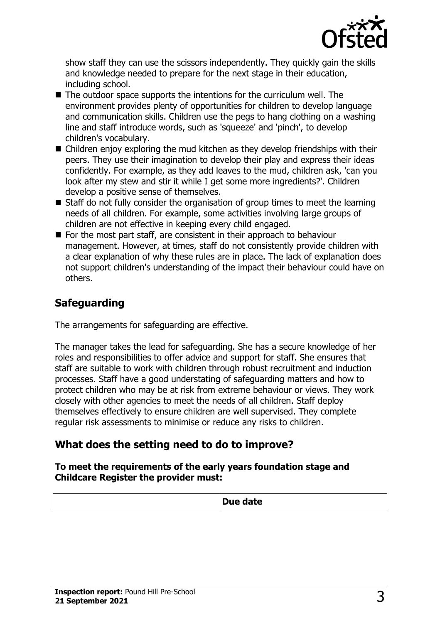

show staff they can use the scissors independently. They quickly gain the skills and knowledge needed to prepare for the next stage in their education, including school.

- $\blacksquare$  The outdoor space supports the intentions for the curriculum well. The environment provides plenty of opportunities for children to develop language and communication skills. Children use the pegs to hang clothing on a washing line and staff introduce words, such as 'squeeze' and 'pinch', to develop children's vocabulary.
- $\blacksquare$  Children enjoy exploring the mud kitchen as they develop friendships with their peers. They use their imagination to develop their play and express their ideas confidently. For example, as they add leaves to the mud, children ask, 'can you look after my stew and stir it while I get some more ingredients?'. Children develop a positive sense of themselves.
- $\blacksquare$  Staff do not fully consider the organisation of group times to meet the learning needs of all children. For example, some activities involving large groups of children are not effective in keeping every child engaged.
- For the most part staff, are consistent in their approach to behaviour management. However, at times, staff do not consistently provide children with a clear explanation of why these rules are in place. The lack of explanation does not support children's understanding of the impact their behaviour could have on others.

## **Safeguarding**

The arrangements for safeguarding are effective.

The manager takes the lead for safeguarding. She has a secure knowledge of her roles and responsibilities to offer advice and support for staff. She ensures that staff are suitable to work with children through robust recruitment and induction processes. Staff have a good understating of safeguarding matters and how to protect children who may be at risk from extreme behaviour or views. They work closely with other agencies to meet the needs of all children. Staff deploy themselves effectively to ensure children are well supervised. They complete regular risk assessments to minimise or reduce any risks to children.

## **What does the setting need to do to improve?**

#### **To meet the requirements of the early years foundation stage and Childcare Register the provider must:**

| $- - - - - -$<br>puc |
|----------------------|
|                      |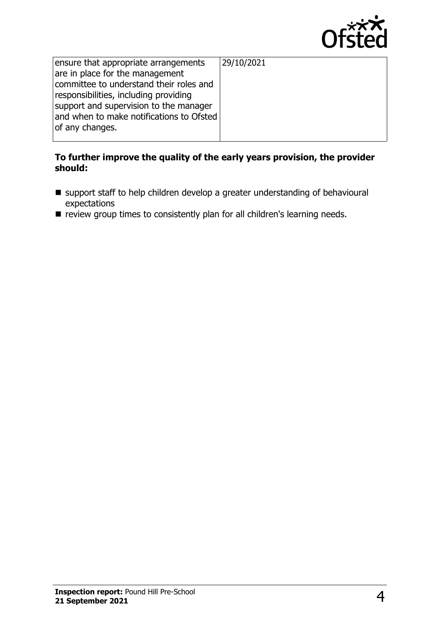

| ensure that appropriate arrangements     | 29/10/2021 |
|------------------------------------------|------------|
| are in place for the management          |            |
| committee to understand their roles and  |            |
| responsibilities, including providing    |            |
| support and supervision to the manager   |            |
| and when to make notifications to Ofsted |            |
| of any changes.                          |            |
|                                          |            |

#### **To further improve the quality of the early years provision, the provider should:**

- support staff to help children develop a greater understanding of behavioural expectations
- $\blacksquare$  review group times to consistently plan for all children's learning needs.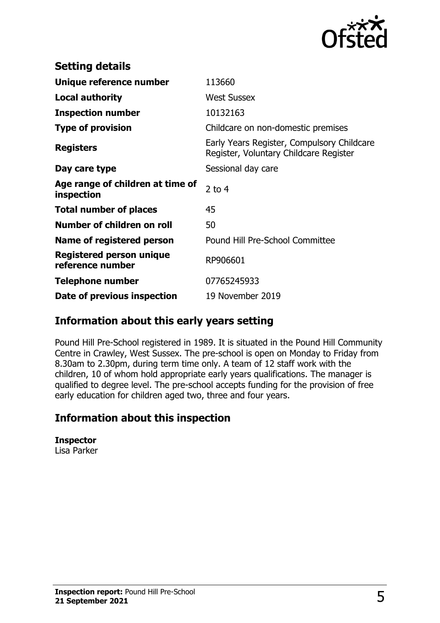

| <b>Setting details</b>                         |                                                                                      |
|------------------------------------------------|--------------------------------------------------------------------------------------|
| Unique reference number                        | 113660                                                                               |
| Local authority                                | <b>West Sussex</b>                                                                   |
| <b>Inspection number</b>                       | 10132163                                                                             |
| <b>Type of provision</b>                       | Childcare on non-domestic premises                                                   |
| <b>Registers</b>                               | Early Years Register, Compulsory Childcare<br>Register, Voluntary Childcare Register |
| Day care type                                  | Sessional day care                                                                   |
| Age range of children at time of<br>inspection | 2 to $4$                                                                             |
| <b>Total number of places</b>                  | 45                                                                                   |
| Number of children on roll                     | 50                                                                                   |
| Name of registered person                      | Pound Hill Pre-School Committee                                                      |
| Registered person unique<br>reference number   | RP906601                                                                             |
| <b>Telephone number</b>                        | 07765245933                                                                          |
| Date of previous inspection                    | 19 November 2019                                                                     |

## **Information about this early years setting**

Pound Hill Pre-School registered in 1989. It is situated in the Pound Hill Community Centre in Crawley, West Sussex. The pre-school is open on Monday to Friday from 8.30am to 2.30pm, during term time only. A team of 12 staff work with the children, 10 of whom hold appropriate early years qualifications. The manager is qualified to degree level. The pre-school accepts funding for the provision of free early education for children aged two, three and four years.

## **Information about this inspection**

**Inspector** Lisa Parker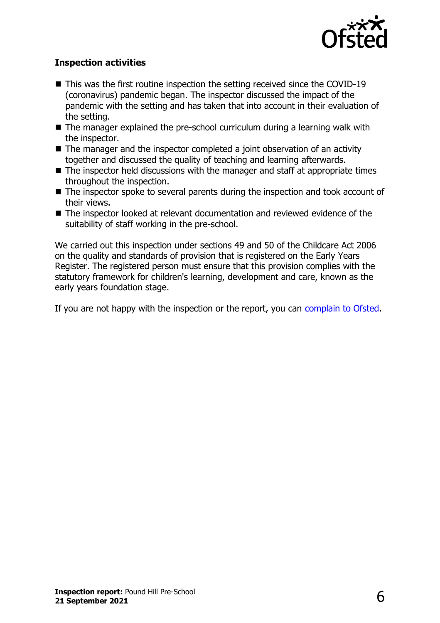

## **Inspection activities**

- $\blacksquare$  This was the first routine inspection the setting received since the COVID-19 (coronavirus) pandemic began. The inspector discussed the impact of the pandemic with the setting and has taken that into account in their evaluation of the setting.
- $\blacksquare$  The manager explained the pre-school curriculum during a learning walk with the inspector.
- $\blacksquare$  The manager and the inspector completed a joint observation of an activity together and discussed the quality of teaching and learning afterwards.
- $\blacksquare$  The inspector held discussions with the manager and staff at appropriate times throughout the inspection.
- $\blacksquare$  The inspector spoke to several parents during the inspection and took account of their views.
- $\blacksquare$  The inspector looked at relevant documentation and reviewed evidence of the suitability of staff working in the pre-school.

We carried out this inspection under sections 49 and 50 of the Childcare Act 2006 on the quality and standards of provision that is registered on the Early Years Register. The registered person must ensure that this provision complies with the statutory framework for children's learning, development and care, known as the early years foundation stage.

If you are not happy with the inspection or the report, you can [complain to Ofsted](http://www.gov.uk/complain-ofsted-report).